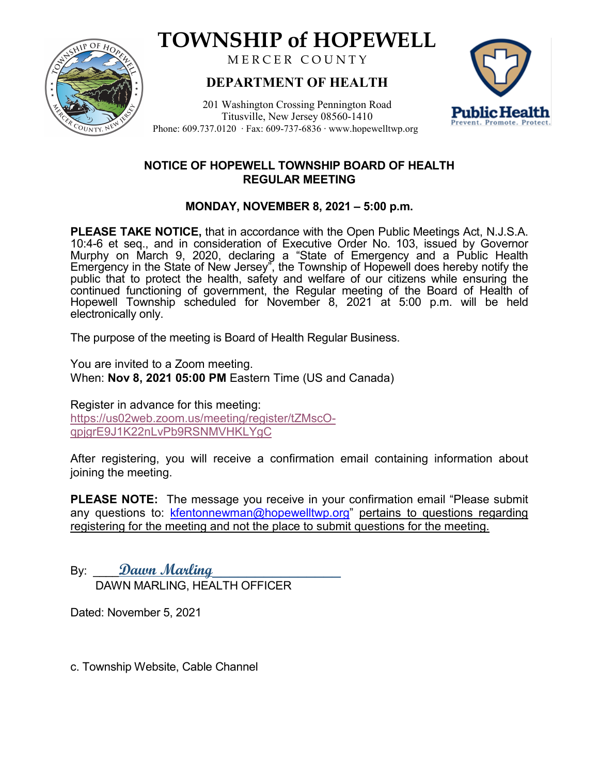

# **TOWNSHIP of HOPEWELL**

MERCER COUNTY

## **DEPARTMENT OF HEALTH**

201 Washington Crossing Pennington Road Titusville, New Jersey 08560-1410 Phone: 609.737.0120 ‧ Fax: 609-737-6836 ‧ www.hopewelltwp.org



### **NOTICE OF HOPEWELL TOWNSHIP BOARD OF HEALTH REGULAR MEETING**

## **MONDAY, NOVEMBER 8, 2021 – 5:00 p.m.**

**PLEASE TAKE NOTICE,** that in accordance with the Open Public Meetings Act, N.J.S.A. 10:4-6 et seq., and in consideration of Executive Order No. 103, issued by Governor Murphy on March 9, 2020, declaring a "State of Emergency and a Public Health Emergency in the State of New Jersey", the Township of Hopewell does hereby notify the public that to protect the health, safety and welfare of our citizens while ensuring the continued functioning of government, the Regular meeting of the Board of Health of Hopewell Township scheduled for November 8, 2021 at 5:00 p.m. will be held electronically only.

The purpose of the meeting is Board of Health Regular Business.

You are invited to a Zoom meeting. When: **Nov 8, 2021 05:00 PM** Eastern Time (US and Canada)

Register in advance for this meeting: [https://us02web.zoom.us/meeting/register/tZMscO](https://us02web.zoom.us/meeting/register/tZMscO-qpjgrE9J1K22nLvPb9RSNMVHKLYgC)[qpjgrE9J1K22nLvPb9RSNMVHKLYgC](https://us02web.zoom.us/meeting/register/tZMscO-qpjgrE9J1K22nLvPb9RSNMVHKLYgC)

After registering, you will receive a confirmation email containing information about joining the meeting.

**PLEASE NOTE:** The message you receive in your confirmation email "Please submit any questions to: [kfentonnewman@hopewelltwp.org"](mailto:kfentonnewman@hopewelltwp.org) pertains to questions regarding registering for the meeting and not the place to submit questions for the meeting.

By: \_\_\_\_**Dawn Marling**\_\_\_\_\_\_\_\_\_\_\_\_\_\_\_ DAWN MARLING, HEALTH OFFICER

Dated: November 5, 2021

c. Township Website, Cable Channel